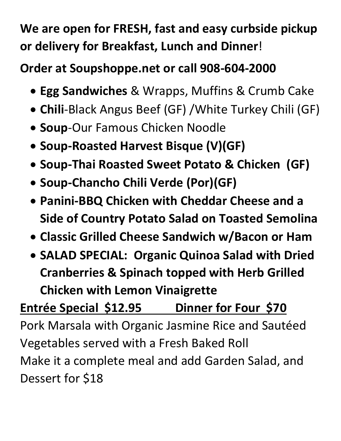## **We are open for FRESH, fast and easy curbside pickup or delivery for Breakfast, Lunch and Dinner**!

## **Order at Soupshoppe.net or call 908-604-2000**

- **Egg Sandwiches** & Wrapps, Muffins & Crumb Cake
- **Chili**-Black Angus Beef (GF) /White Turkey Chili (GF)
- **Soup**-Our Famous Chicken Noodle
- **Soup-Roasted Harvest Bisque (V)(GF)**
- **Soup-Thai Roasted Sweet Potato & Chicken (GF)**
- **Soup-Chancho Chili Verde (Por)(GF)**
- **Panini-BBQ Chicken with Cheddar Cheese and a Side of Country Potato Salad on Toasted Semolina**
- **Classic Grilled Cheese Sandwich w/Bacon or Ham**
- **SALAD SPECIAL: Organic Quinoa Salad with Dried Cranberries & Spinach topped with Herb Grilled Chicken with Lemon Vinaigrette**

## **Entrée Special \$12.95 Dinner for Four \$70**

Pork Marsala with Organic Jasmine Rice and Sautéed Vegetables served with a Fresh Baked Roll Make it a complete meal and add Garden Salad, and Dessert for \$18